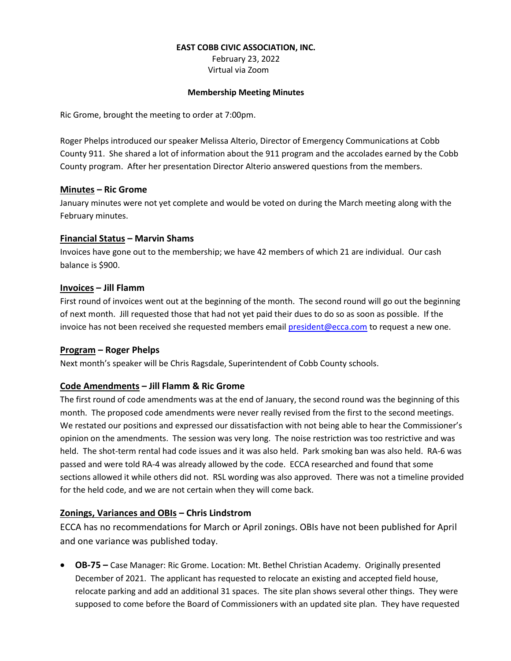#### **EAST COBB CIVIC ASSOCIATION, INC.**

February 23, 2022 Virtual via Zoom

#### **Membership Meeting Minutes**

Ric Grome, brought the meeting to order at 7:00pm.

Roger Phelps introduced our speaker Melissa Alterio, Director of Emergency Communications at Cobb County 911. She shared a lot of information about the 911 program and the accolades earned by the Cobb County program. After her presentation Director Alterio answered questions from the members.

## **Minutes – Ric Grome**

January minutes were not yet complete and would be voted on during the March meeting along with the February minutes.

## **Financial Status – Marvin Shams**

Invoices have gone out to the membership; we have 42 members of which 21 are individual. Our cash balance is \$900.

## **Invoices – Jill Flamm**

First round of invoices went out at the beginning of the month. The second round will go out the beginning of next month. Jill requested those that had not yet paid their dues to do so as soon as possible. If the invoice has not been received she requested members emai[l president@ecca.com](mailto:president@ecca.com) to request a new one.

#### **Program – Roger Phelps**

Next month's speaker will be Chris Ragsdale, Superintendent of Cobb County schools.

# **Code Amendments – Jill Flamm & Ric Grome**

The first round of code amendments was at the end of January, the second round was the beginning of this month. The proposed code amendments were never really revised from the first to the second meetings. We restated our positions and expressed our dissatisfaction with not being able to hear the Commissioner's opinion on the amendments. The session was very long. The noise restriction was too restrictive and was held. The shot-term rental had code issues and it was also held. Park smoking ban was also held. RA-6 was passed and were told RA-4 was already allowed by the code. ECCA researched and found that some sections allowed it while others did not. RSL wording was also approved. There was not a timeline provided for the held code, and we are not certain when they will come back.

# **Zonings, Variances and OBIs – Chris Lindstrom**

ECCA has no recommendations for March or April zonings. OBIs have not been published for April and one variance was published today.

 **OB-75 –** Case Manager: Ric Grome. Location: Mt. Bethel Christian Academy. Originally presented December of 2021. The applicant has requested to relocate an existing and accepted field house, relocate parking and add an additional 31 spaces. The site plan shows several other things. They were supposed to come before the Board of Commissioners with an updated site plan. They have requested